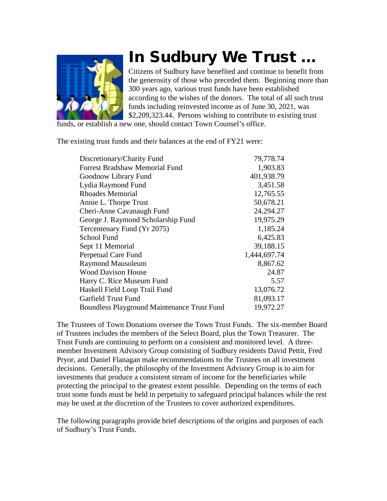

# In Sudbury We Trust …

Citizens of Sudbury have benefited and continue to benefit from the generosity of those who preceded them. Beginning more than 300 years ago, various trust funds have been established according to the wishes of the donors. The total of all such trust funds including reinvested income as of June 30, 2021, was \$2,209,323.44. Persons wishing to contribute to existing trust

funds, or establish a new one, should contact Town Counsel's office.

The existing trust funds and their balances at the end of FY21 were:

| Discretionary/Charity Fund                         | 79,778.74    |
|----------------------------------------------------|--------------|
| <b>Forrest Bradshaw Memorial Fund</b>              | 1,903.83     |
| Goodnow Library Fund                               | 401,938.79   |
| Lydia Raymond Fund                                 | 3,451.58     |
| <b>Rhoades Memorial</b>                            | 12,765.55    |
| Annie L. Thorpe Trust                              | 50,678.21    |
| Cheri-Anne Cavanaugh Fund                          | 24,294.27    |
| George J. Raymond Scholarship Fund                 | 19,975.29    |
| Tercentenary Fund (Yr 2075)                        | 1,185.24     |
| School Fund                                        | 6,425.83     |
| Sept 11 Memorial                                   | 39,188.15    |
| Perpetual Care Fund                                | 1,444,697.74 |
| <b>Raymond Mausoleum</b>                           | 8,867.62     |
| <b>Wood Davison House</b>                          | 24.87        |
| Harry C. Rice Museum Fund                          | 5.57         |
| Haskell Field Loop Trail Fund                      | 13,076.72    |
| Garfield Trust Fund                                | 81,093.17    |
| <b>Boundless Playground Maintenance Trust Fund</b> | 19,972.27    |

The Trustees of Town Donations oversee the Town Trust Funds. The six-member Board of Trustees includes the members of the Select Board, plus the Town Treasurer. The Trust Funds are continuing to perform on a consistent and monitored level. A threemember Investment Advisory Group consisting of Sudbury residents David Pettit, Fred Pryor, and Daniel Flanagan make recommendations to the Trustees on all investment decisions. Generally, the philosophy of the Investment Advisory Group is to aim for investments that produce a consistent stream of income for the beneficiaries while protecting the principal to the greatest extent possible. Depending on the terms of each trust some funds must be held in perpetuity to safeguard principal balances while the rest may be used at the discretion of the Trustees to cover authorized expenditures.

The following paragraphs provide brief descriptions of the origins and purposes of each of Sudbury's Trust Funds.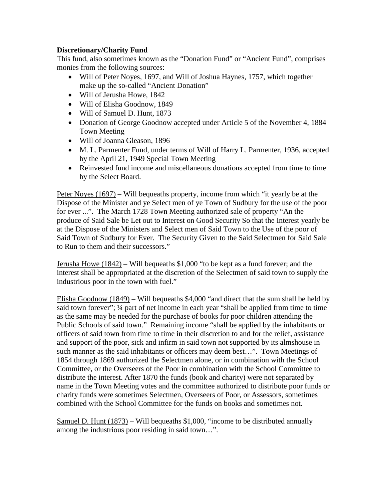# **Discretionary/Charity Fund**

This fund, also sometimes known as the "Donation Fund" or "Ancient Fund", comprises monies from the following sources:

- Will of Peter Noyes, 1697, and Will of Joshua Haynes, 1757, which together make up the so-called "Ancient Donation"
- Will of Jerusha Howe, 1842
- Will of Elisha Goodnow, 1849
- Will of Samuel D. Hunt, 1873
- Donation of George Goodnow accepted under Article 5 of the November 4, 1884 Town Meeting
- Will of Joanna Gleason, 1896
- M. L. Parmenter Fund, under terms of Will of Harry L. Parmenter, 1936, accepted by the April 21, 1949 Special Town Meeting
- Reinvested fund income and miscellaneous donations accepted from time to time by the Select Board.

Peter Noyes (1697) – Will bequeaths property, income from which "it yearly be at the Dispose of the Minister and ye Select men of ye Town of Sudbury for the use of the poor for ever ...". The March 1728 Town Meeting authorized sale of property "An the produce of Said Sale be Let out to Interest on Good Security So that the Interest yearly be at the Dispose of the Ministers and Select men of Said Town to the Use of the poor of Said Town of Sudbury for Ever. The Security Given to the Said Selectmen for Said Sale to Run to them and their successors."

Jerusha Howe (1842) – Will bequeaths \$1,000 "to be kept as a fund forever; and the interest shall be appropriated at the discretion of the Selectmen of said town to supply the industrious poor in the town with fuel."

Elisha Goodnow (1849) – Will bequeaths \$4,000 "and direct that the sum shall be held by said town forever"; ¼ part of net income in each year "shall be applied from time to time as the same may be needed for the purchase of books for poor children attending the Public Schools of said town." Remaining income "shall be applied by the inhabitants or officers of said town from time to time in their discretion to and for the relief, assistance and support of the poor, sick and infirm in said town not supported by its almshouse in such manner as the said inhabitants or officers may deem best…". Town Meetings of 1854 through 1869 authorized the Selectmen alone, or in combination with the School Committee, or the Overseers of the Poor in combination with the School Committee to distribute the interest. After 1870 the funds (book and charity) were not separated by name in the Town Meeting votes and the committee authorized to distribute poor funds or charity funds were sometimes Selectmen, Overseers of Poor, or Assessors, sometimes combined with the School Committee for the funds on books and sometimes not.

Samuel D. Hunt  $(1873)$  – Will bequeaths \$1,000, "income to be distributed annually among the industrious poor residing in said town…".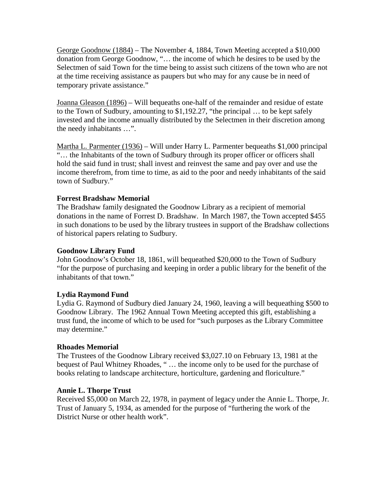George Goodnow (1884) – The November 4, 1884, Town Meeting accepted a \$10,000 donation from George Goodnow, "… the income of which he desires to be used by the Selectmen of said Town for the time being to assist such citizens of the town who are not at the time receiving assistance as paupers but who may for any cause be in need of temporary private assistance."

Joanna Gleason (1896) – Will bequeaths one-half of the remainder and residue of estate to the Town of Sudbury, amounting to \$1,192.27, "the principal … to be kept safely invested and the income annually distributed by the Selectmen in their discretion among the needy inhabitants …".

Martha L. Parmenter (1936) – Will under Harry L. Parmenter bequeaths \$1,000 principal "… the Inhabitants of the town of Sudbury through its proper officer or officers shall hold the said fund in trust; shall invest and reinvest the same and pay over and use the income therefrom, from time to time, as aid to the poor and needy inhabitants of the said town of Sudbury."

## **Forrest Bradshaw Memorial**

The Bradshaw family designated the Goodnow Library as a recipient of memorial donations in the name of Forrest D. Bradshaw. In March 1987, the Town accepted \$455 in such donations to be used by the library trustees in support of the Bradshaw collections of historical papers relating to Sudbury.

## **Goodnow Library Fund**

John Goodnow's October 18, 1861, will bequeathed \$20,000 to the Town of Sudbury "for the purpose of purchasing and keeping in order a public library for the benefit of the inhabitants of that town."

## **Lydia Raymond Fund**

Lydia G. Raymond of Sudbury died January 24, 1960, leaving a will bequeathing \$500 to Goodnow Library. The 1962 Annual Town Meeting accepted this gift, establishing a trust fund, the income of which to be used for "such purposes as the Library Committee may determine."

## **Rhoades Memorial**

The Trustees of the Goodnow Library received \$3,027.10 on February 13, 1981 at the bequest of Paul Whitney Rhoades, " … the income only to be used for the purchase of books relating to landscape architecture, horticulture, gardening and floriculture."

## **Annie L. Thorpe Trust**

Received \$5,000 on March 22, 1978, in payment of legacy under the Annie L. Thorpe, Jr. Trust of January 5, 1934, as amended for the purpose of "furthering the work of the District Nurse or other health work".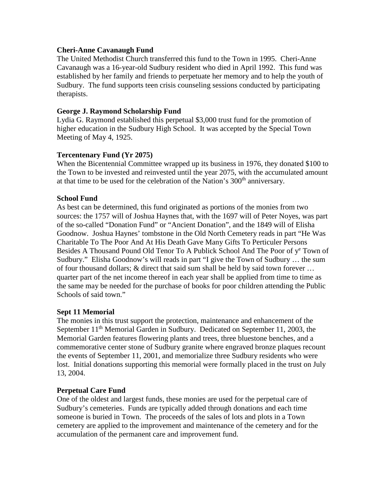## **Cheri-Anne Cavanaugh Fund**

The United Methodist Church transferred this fund to the Town in 1995. Cheri-Anne Cavanaugh was a 16-year-old Sudbury resident who died in April 1992. This fund was established by her family and friends to perpetuate her memory and to help the youth of Sudbury. The fund supports teen crisis counseling sessions conducted by participating therapists.

## **George J. Raymond Scholarship Fund**

Lydia G. Raymond established this perpetual \$3,000 trust fund for the promotion of higher education in the Sudbury High School. It was accepted by the Special Town Meeting of May 4, 1925.

# **Tercentenary Fund (Yr 2075)**

When the Bicentennial Committee wrapped up its business in 1976, they donated \$100 to the Town to be invested and reinvested until the year 2075, with the accumulated amount at that time to be used for the celebration of the Nation's 300<sup>th</sup> anniversary.

## **School Fund**

As best can be determined, this fund originated as portions of the monies from two sources: the 1757 will of Joshua Haynes that, with the 1697 will of Peter Noyes, was part of the so-called "Donation Fund" or "Ancient Donation", and the 1849 will of Elisha Goodnow. Joshua Haynes' tombstone in the Old North Cemetery reads in part "He Was Charitable To The Poor And At His Death Gave Many Gifts To Perticuler Persons Besides A Thousand Pound Old Tenor To A Publick School And The Poor of y<sup>e</sup> Town of Sudbury." Elisha Goodnow's will reads in part "I give the Town of Sudbury … the sum of four thousand dollars; & direct that said sum shall be held by said town forever … quarter part of the net income thereof in each year shall be applied from time to time as the same may be needed for the purchase of books for poor children attending the Public Schools of said town."

## **Sept 11 Memorial**

The monies in this trust support the protection, maintenance and enhancement of the September 11<sup>th</sup> Memorial Garden in Sudbury. Dedicated on September 11, 2003, the Memorial Garden features flowering plants and trees, three bluestone benches, and a commemorative center stone of Sudbury granite where engraved bronze plaques recount the events of September 11, 2001, and memorialize three Sudbury residents who were lost. Initial donations supporting this memorial were formally placed in the trust on July 13, 2004.

## **Perpetual Care Fund**

One of the oldest and largest funds, these monies are used for the perpetual care of Sudbury's cemeteries. Funds are typically added through donations and each time someone is buried in Town. The proceeds of the sales of lots and plots in a Town cemetery are applied to the improvement and maintenance of the cemetery and for the accumulation of the permanent care and improvement fund.